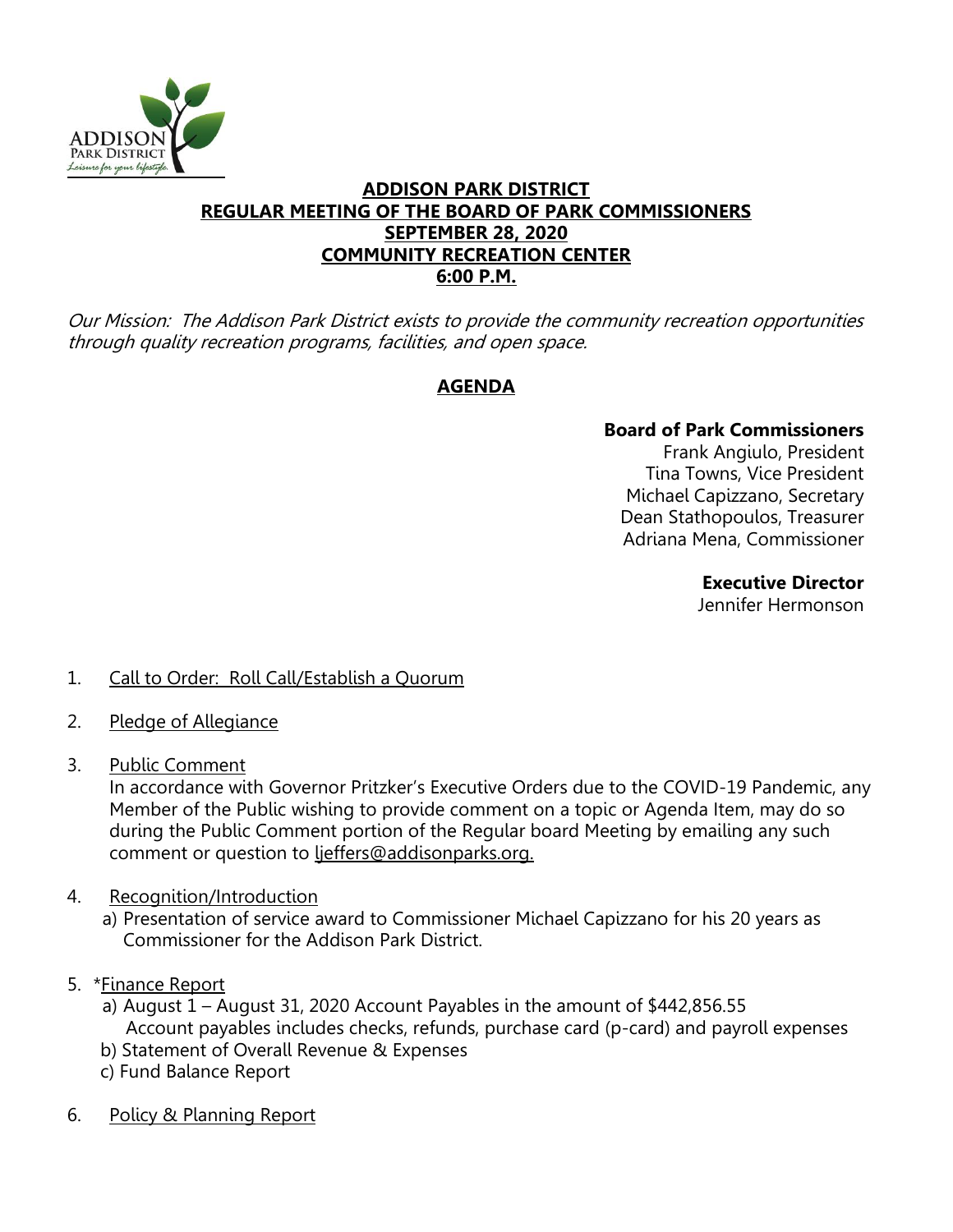

### **ADDISON PARK DISTRICT REGULAR MEETING OF THE BOARD OF PARK COMMISSIONERS SEPTEMBER 28, 2020 COMMUNITY RECREATION CENTER 6:00 P.M.**

Our Mission: The Addison Park District exists to provide the community recreation opportunities through quality recreation programs, facilities, and open space.

## **AGENDA**

# **Board of Park Commissioners**

Frank Angiulo, President Tina Towns, Vice President Michael Capizzano, Secretary Dean Stathopoulos, Treasurer Adriana Mena, Commissioner

### **Executive Director**

Jennifer Hermonson

- 1. Call to Order: Roll Call/Establish a Quorum
- 2. Pledge of Allegiance
- 3. Public Comment

In accordance with Governor Pritzker's Executive Orders due to the COVID-19 Pandemic, any Member of the Public wishing to provide comment on a topic or Agenda Item, may do so during the Public Comment portion of the Regular board Meeting by emailing any such comment or question to ljeffers@addisonparks.org.

- 4. Recognition/Introduction
	- a) Presentation of service award to Commissioner Michael Capizzano for his 20 years as Commissioner for the Addison Park District.
- 5. \*Finance Report
	- a) August 1 August 31, 2020 Account Payables in the amount of \$442,856.55 Account payables includes checks, refunds, purchase card (p-card) and payroll expenses
	- b) Statement of Overall Revenue & Expenses
	- c) Fund Balance Report
- 6. Policy & Planning Report